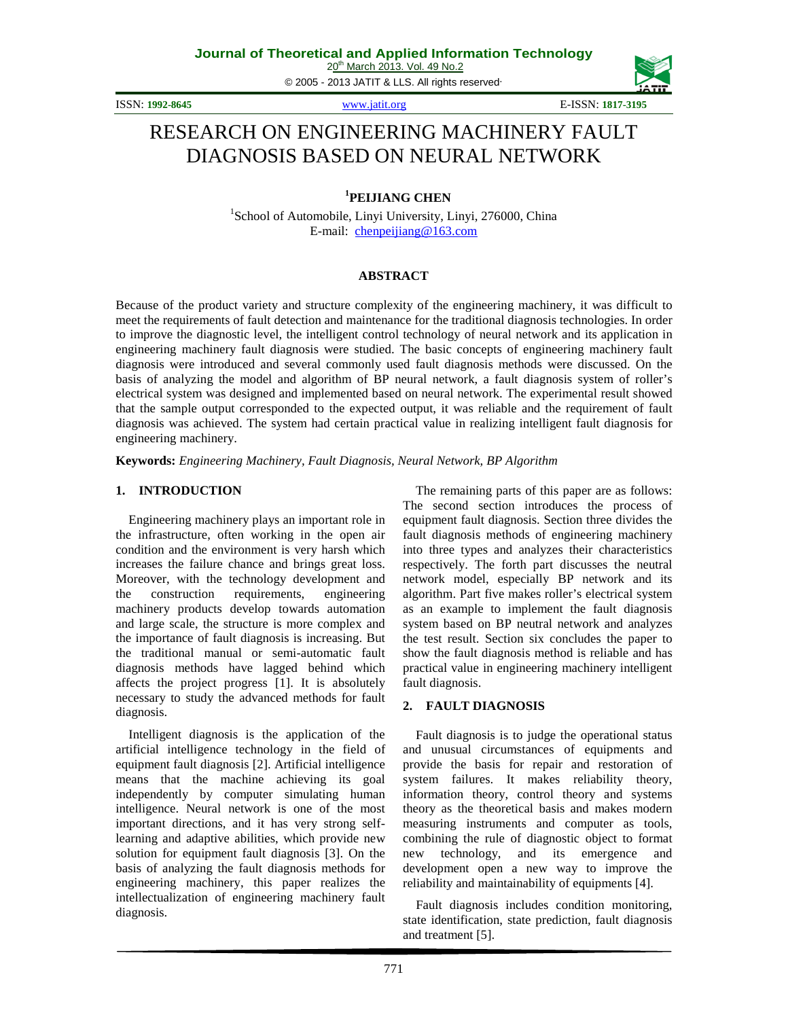© 2005 - 2013 JATIT & LLS. All rights reserved.

ISSN: **1992-8645** [www.jatit.org](http://www.jatit.org/) E-ISSN: **1817-3195**

# RESEARCH ON ENGINEERING MACHINERY FAULT DIAGNOSIS BASED ON NEURAL NETWORK

**1 PEIJIANG CHEN**

<sup>1</sup>School of Automobile, Linyi University, Linyi, 276000, China E-mail: [chenpeijiang@163.com](mailto:chenpeijiang@163.com)

# **ABSTRACT**

Because of the product variety and structure complexity of the engineering machinery, it was difficult to meet the requirements of fault detection and maintenance for the traditional diagnosis technologies. In order to improve the diagnostic level, the intelligent control technology of neural network and its application in engineering machinery fault diagnosis were studied. The basic concepts of engineering machinery fault diagnosis were introduced and several commonly used fault diagnosis methods were discussed. On the basis of analyzing the model and algorithm of BP neural network, a fault diagnosis system of roller's electrical system was designed and implemented based on neural network. The experimental result showed that the sample output corresponded to the expected output, it was reliable and the requirement of fault diagnosis was achieved. The system had certain practical value in realizing intelligent fault diagnosis for engineering machinery.

**Keywords:** *Engineering Machinery, Fault Diagnosis, Neural Network, BP Algorithm*

# **1. INTRODUCTION**

Engineering machinery plays an important role in the infrastructure, often working in the open air condition and the environment is very harsh which increases the failure chance and brings great loss. Moreover, with the technology development and the construction requirements, engineering machinery products develop towards automation and large scale, the structure is more complex and the importance of fault diagnosis is increasing. But the traditional manual or semi-automatic fault diagnosis methods have lagged behind which affects the project progress [1]. It is absolutely necessary to study the advanced methods for fault diagnosis.

Intelligent diagnosis is the application of the artificial intelligence technology in the field of equipment fault diagnosis [2]. Artificial intelligence means that the machine achieving its goal independently by computer simulating human intelligence. Neural network is one of the most important directions, and it has very strong selflearning and adaptive abilities, which provide new solution for equipment fault diagnosis [3]. On the basis of analyzing the fault diagnosis methods for engineering machinery, this paper realizes the intellectualization of engineering machinery fault diagnosis.

The remaining parts of this paper are as follows: The second section introduces the process of equipment fault diagnosis. Section three divides the fault diagnosis methods of engineering machinery into three types and analyzes their characteristics respectively. The forth part discusses the neutral network model, especially BP network and its algorithm. Part five makes roller's electrical system as an example to implement the fault diagnosis system based on BP neutral network and analyzes the test result. Section six concludes the paper to show the fault diagnosis method is reliable and has practical value in engineering machinery intelligent fault diagnosis.

# **2. FAULT DIAGNOSIS**

Fault diagnosis is to judge the operational status and unusual circumstances of equipments and provide the basis for repair and restoration of system failures. It makes reliability theory, information theory, control theory and systems theory as the theoretical basis and makes modern measuring instruments and computer as tools, combining the rule of diagnostic object to format new technology, and its emergence and development open a new way to improve the reliability and maintainability of equipments [4].

Fault diagnosis includes condition monitoring, state identification, state prediction, fault diagnosis and treatment [5].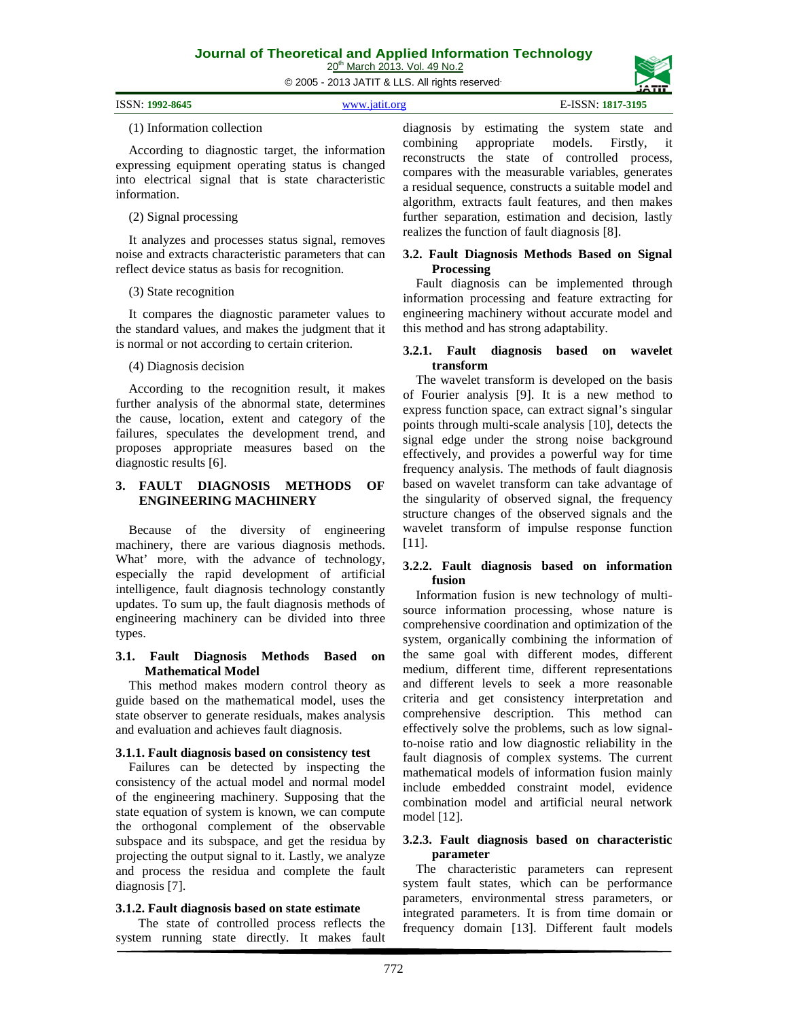© 2005 - 2013 JATIT & LLS. All rights reserved.

| ISSN: 1992-8645<br>E-ISSN: 1817-3195<br>www.jatit.org |  |  |  |
|-------------------------------------------------------|--|--|--|
|-------------------------------------------------------|--|--|--|

#### (1) Information collection

According to diagnostic target, the information expressing equipment operating status is changed into electrical signal that is state characteristic information.

# (2) Signal processing

It analyzes and processes status signal, removes noise and extracts characteristic parameters that can reflect device status as basis for recognition.

# (3) State recognition

It compares the diagnostic parameter values to the standard values, and makes the judgment that it is normal or not according to certain criterion.

# (4) Diagnosis decision

According to the recognition result, it makes further analysis of the abnormal state, determines the cause, location, extent and category of the failures, speculates the development trend, and proposes appropriate measures based on the diagnostic results [6].

## **3. FAULT DIAGNOSIS METHODS OF ENGINEERING MACHINERY**

Because of the diversity of engineering machinery, there are various diagnosis methods. What' more, with the advance of technology, especially the rapid development of artificial intelligence, fault diagnosis technology constantly updates. To sum up, the fault diagnosis methods of engineering machinery can be divided into three types.

#### **3.1. Fault Diagnosis Methods Based on Mathematical Model**

This method makes modern control theory as guide based on the mathematical model, uses the state observer to generate residuals, makes analysis and evaluation and achieves fault diagnosis.

# **3.1.1. Fault diagnosis based on consistency test**

Failures can be detected by inspecting the consistency of the actual model and normal model of the engineering machinery. Supposing that the state equation of system is known, we can compute the orthogonal complement of the observable subspace and its subspace, and get the residua by projecting the output signal to it. Lastly, we analyze and process the residua and complete the fault diagnosis [7].

# **3.1.2. Fault diagnosis based on state estimate**

 The state of controlled process reflects the system running state directly. It makes fault diagnosis by estimating the system state and combining appropriate models. Firstly, it reconstructs the state of controlled process, compares with the measurable variables, generates a residual sequence, constructs a suitable model and algorithm, extracts fault features, and then makes further separation, estimation and decision, lastly realizes the function of fault diagnosis [8].

# **3.2. Fault Diagnosis Methods Based on Signal Processing**

Fault diagnosis can be implemented through information processing and feature extracting for engineering machinery without accurate model and this method and has strong adaptability.

## **3.2.1. Fault diagnosis based on wavelet transform**

The wavelet transform is developed on the basis of Fourier analysis [9]. It is a new method to express function space, can extract signal's singular points through multi-scale analysis [10], detects the signal edge under the strong noise background effectively, and provides a powerful way for time frequency analysis. The methods of fault diagnosis based on wavelet transform can take advantage of the singularity of observed signal, the frequency structure changes of the observed signals and the wavelet transform of impulse response function [11].

#### **3.2.2. Fault diagnosis based on information fusion**

Information fusion is new technology of multisource information processing, whose nature is comprehensive coordination and optimization of the system, organically combining the information of the same goal with different modes, different medium, different time, different representations and different levels to seek a more reasonable criteria and get consistency interpretation and comprehensive description. This method can effectively solve the problems, such as low signalto-noise ratio and low diagnostic reliability in the fault diagnosis of complex systems. The current mathematical models of information fusion mainly include embedded constraint model, evidence combination model and artificial neural network model [12].

# **3.2.3. Fault diagnosis based on characteristic parameter**

The characteristic parameters can represent system fault states, which can be performance parameters, environmental stress parameters, or integrated parameters. It is from time domain or frequency domain [13]. Different fault models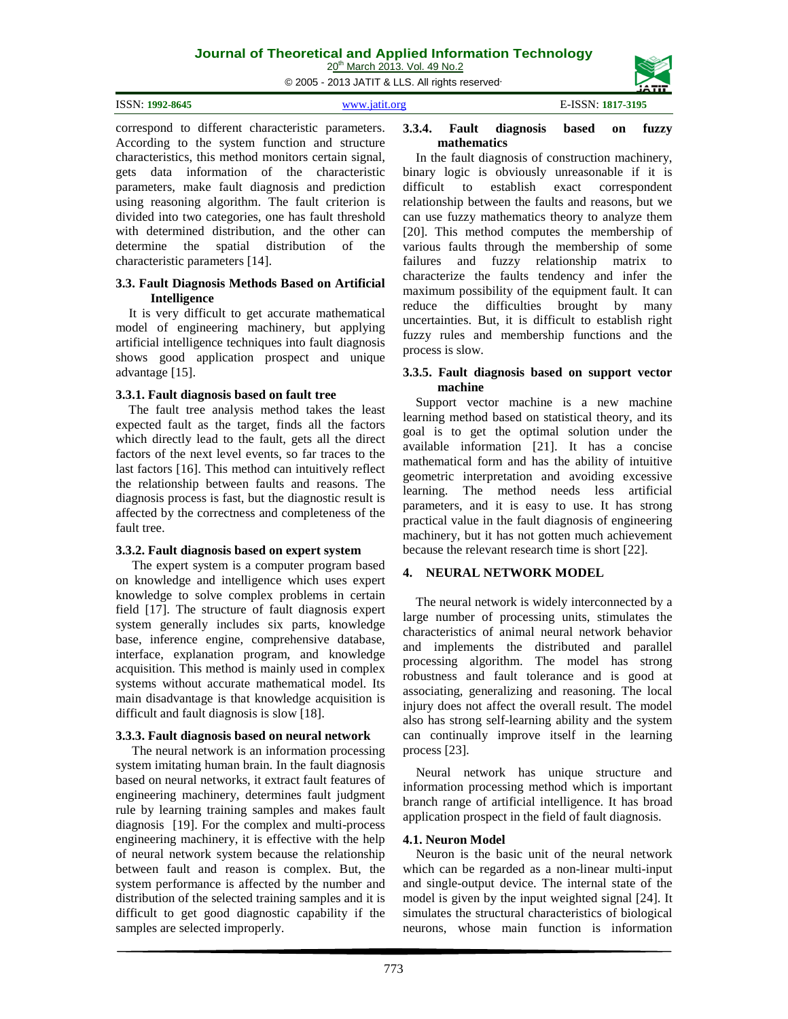# **Journal of Theoretical and Applied Information Technology**

20<sup>th</sup> March 2013. Vol. 49 No.2

© 2005 - 2013 JATIT & LLS. All rights reserved.

| ISSN: 1992-8645 | www.jatit.org | E-ISSN: 1817-3195 |
|-----------------|---------------|-------------------|
|                 |               |                   |

correspond to different characteristic parameters. According to the system function and structure characteristics, this method monitors certain signal, gets data information of the characteristic parameters, make fault diagnosis and prediction using reasoning algorithm. The fault criterion is divided into two categories, one has fault threshold with determined distribution, and the other can determine the spatial distribution of the characteristic parameters [14].

# **3.3. Fault Diagnosis Methods Based on Artificial Intelligence**

It is very difficult to get accurate mathematical model of engineering machinery, but applying artificial intelligence techniques into fault diagnosis shows good application prospect and unique advantage [15].

# **3.3.1. Fault diagnosis based on fault tree**

The fault tree analysis method takes the least expected fault as the target, finds all the factors which directly lead to the fault, gets all the direct factors of the next level events, so far traces to the last factors [16]. This method can intuitively reflect the relationship between faults and reasons. The diagnosis process is fast, but the diagnostic result is affected by the correctness and completeness of the fault tree.

# **3.3.2. Fault diagnosis based on expert system**

The expert system is a computer program based on knowledge and intelligence which uses expert knowledge to solve complex problems in certain field [17]. The structure of fault diagnosis expert system generally includes six parts, knowledge base, inference engine, comprehensive database, interface, explanation program, and knowledge acquisition. This method is mainly used in complex systems without accurate mathematical model. Its main disadvantage is that knowledge acquisition is difficult and fault diagnosis is slow [18].

# **3.3.3. Fault diagnosis based on neural network**

The neural network is an information processing system imitating human brain. In the fault diagnosis based on neural networks, it extract fault features of engineering machinery, determines fault judgment rule by learning training samples and makes fault diagnosis [19]. For the complex and multi-process engineering machinery, it is effective with the help of neural network system because the relationship between fault and reason is complex. But, the system performance is affected by the number and distribution of the selected training samples and it is difficult to get good diagnostic capability if the samples are selected improperly.

# **3.3.4. Fault diagnosis based on fuzzy mathematics**

In the fault diagnosis of construction machinery, binary logic is obviously unreasonable if it is difficult to establish exact correspondent relationship between the faults and reasons, but we can use fuzzy mathematics theory to analyze them [20]. This method computes the membership of various faults through the membership of some failures and fuzzy relationship matrix to characterize the faults tendency and infer the maximum possibility of the equipment fault. It can reduce the difficulties brought by many uncertainties. But, it is difficult to establish right fuzzy rules and membership functions and the process is slow.

# **3.3.5. Fault diagnosis based on support vector machine**

Support vector machine is a new machine learning method based on statistical theory, and its goal is to get the optimal solution under the available information [21]. It has a concise mathematical form and has the ability of intuitive geometric interpretation and avoiding excessive learning. The method needs less artificial parameters, and it is easy to use. It has strong practical value in the fault diagnosis of engineering machinery, but it has not gotten much achievement because the relevant research time is short [22].

# **4. NEURAL NETWORK MODEL**

The neural network is widely interconnected by a large number of processing units, stimulates the characteristics of animal neural network behavior and implements the distributed and parallel processing algorithm. The model has strong robustness and fault tolerance and is good at associating, generalizing and reasoning. The local injury does not affect the overall result. The model also has strong self-learning ability and the system can continually improve itself in the learning process [23].

Neural network has unique structure and information processing method which is important branch range of artificial intelligence. It has broad application prospect in the field of fault diagnosis.

# **4.1. Neuron Model**

Neuron is the basic unit of the neural network which can be regarded as a non-linear multi-input and single-output device. The internal state of the model is given by the input weighted signal [24]. It simulates the structural characteristics of biological neurons, whose main function is information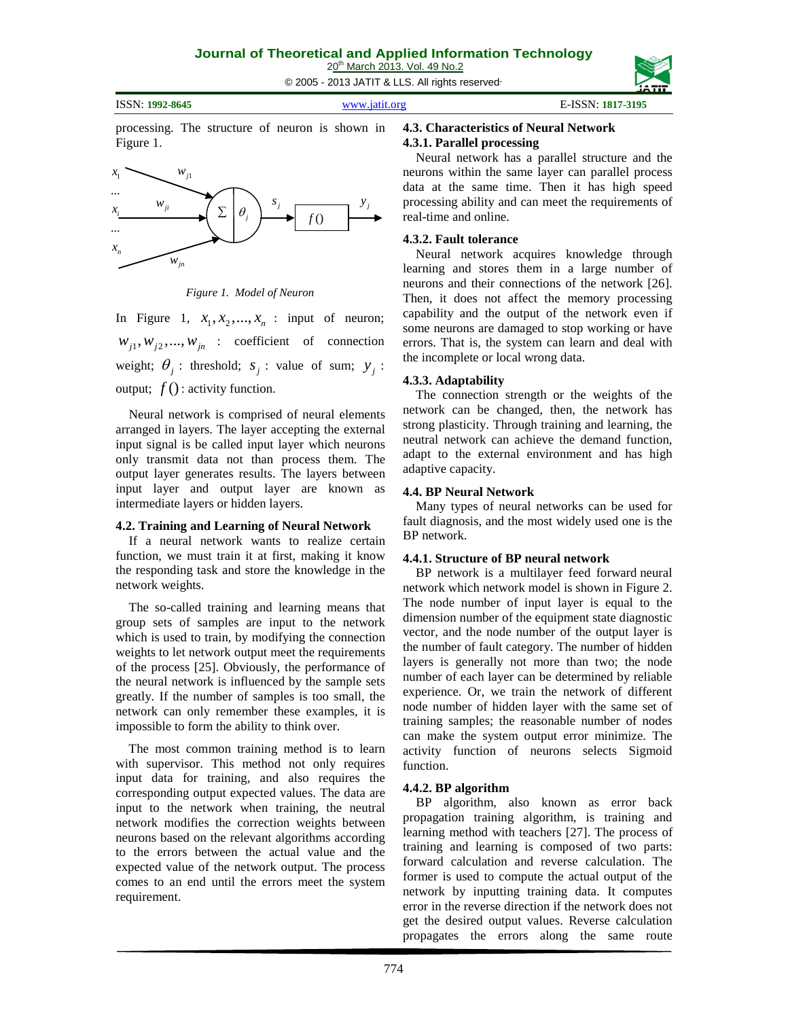© 2005 - 2013 JATIT & LLS. All rights reserved.

ISSN: **1992-8645** [www.jatit.org](http://www.jatit.org/) E-ISSN: **1817-3195**

processing. The structure of neuron is shown in Figure 1.



*Figure 1. Model of Neuron*

In Figure 1,  $x_1, x_2, ..., x_n$  : input of neuron;  $W_{i1}$ ,  $W_{i2}$ , ...,  $W_{in}$  : coefficient of connection weight;  $\theta_i$ : threshold;  $s_i$ : value of sum;  $y_i$ : output;  $f()$ : activity function.

Neural network is comprised of neural elements arranged in layers. The layer accepting the external input signal is be called input layer which neurons only transmit data not than process them. The output layer generates results. The layers between input layer and output layer are known as intermediate layers or hidden layers.

# **4.2. Training and Learning of Neural Network**

If a neural network wants to realize certain function, we must train it at first, making it know the responding task and store the knowledge in the network weights.

The so-called training and learning means that group sets of samples are input to the network which is used to train, by modifying the connection weights to let network output meet the requirements of the process [25]. Obviously, the performance of the neural network is influenced by the sample sets greatly. If the number of samples is too small, the network can only remember these examples, it is impossible to form the ability to think over.

The most common training method is to learn with supervisor. This method not only requires input data for training, and also requires the corresponding output expected values. The data are input to the network when training, the neutral network modifies the correction weights between neurons based on the relevant algorithms according to the errors between the actual value and the expected value of the network output. The process comes to an end until the errors meet the system requirement.

# **4.3. Characteristics of Neural Network 4.3.1. Parallel processing**

Neural network has a parallel structure and the neurons within the same layer can parallel process data at the same time. Then it has high speed processing ability and can meet the requirements of real-time and online.

# **4.3.2. Fault tolerance**

Neural network acquires knowledge through learning and stores them in a large number of neurons and their connections of the network [26]. Then, it does not affect the memory processing capability and the output of the network even if some neurons are damaged to stop working or have errors. That is, the system can learn and deal with the incomplete or local wrong data.

# **4.3.3. Adaptability**

The connection strength or the weights of the network can be changed, then, the network has strong plasticity. Through training and learning, the neutral network can achieve the demand function, adapt to the external environment and has high adaptive capacity.

# **4.4. BP Neural Network**

Many types of neural networks can be used for fault diagnosis, and the most widely used one is the BP network.

# **4.4.1. Structure of BP neural network**

BP network is a multilayer feed forward neural network which network model is shown in Figure 2. The node number of input layer is equal to the dimension number of the equipment state diagnostic vector, and the node number of the output layer is the number of fault category. The number of hidden layers is generally not more than two; the node number of each layer can be determined by reliable experience. Or, we train the network of different node number of hidden layer with the same set of training samples; the reasonable number of nodes can make the system output error minimize. The activity function of neurons selects Sigmoid function.

# **4.4.2. BP algorithm**

BP algorithm, also known as error back propagation training algorithm, is training and learning method with teachers [27]. The process of training and learning is composed of two parts: forward calculation and reverse calculation. The former is used to compute the actual output of the network by inputting training data. It computes error in the reverse direction if the network does not get the desired output values. Reverse calculation propagates the errors along the same route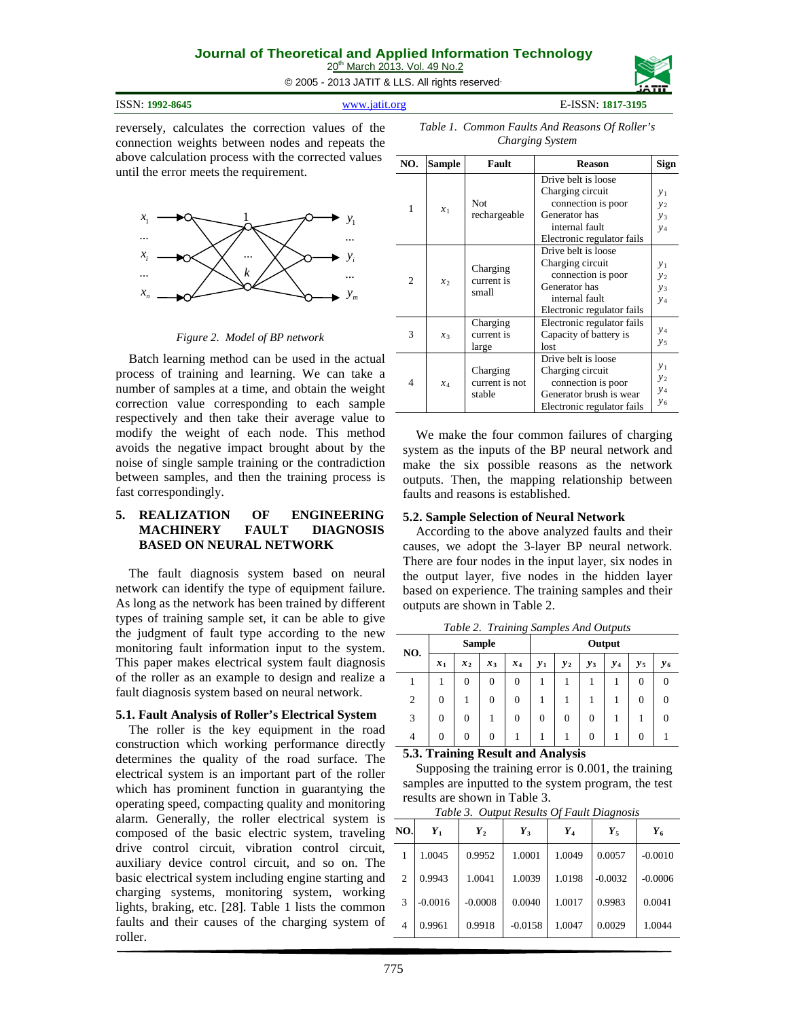# **Journal of Theoretical and Applied Information Technology**

© 2005 - 2013 JATIT & LLS. All rights reserved.

20<sup>th</sup> March 2013. Vol. 49 No.2

ISSN: **1992-8645** [www.jatit.org](http://www.jatit.org/) E-ISSN: **1817-3195**

reversely, calculates the correction values of the connection weights between nodes and repeats the above calculation process with the corrected values until the error meets the requirement.



*Figure 2. Model of BP network*

Batch learning method can be used in the actual process of training and learning. We can take a number of samples at a time, and obtain the weight correction value corresponding to each sample respectively and then take their average value to modify the weight of each node. This method avoids the negative impact brought about by the noise of single sample training or the contradiction between samples, and then the training process is fast correspondingly.

#### **5. REALIZATION OF ENGINEERING MACHINERY FAULT DIAGNOSIS BASED ON NEURAL NETWORK**

The fault diagnosis system based on neural network can identify the type of equipment failure. As long as the network has been trained by different types of training sample set, it can be able to give the judgment of fault type according to the new monitoring fault information input to the system. This paper makes electrical system fault diagnosis of the roller as an example to design and realize a fault diagnosis system based on neural network.

# **5.1. Fault Analysis of Roller's Electrical System**

The roller is the key equipment in the road construction which working performance directly determines the quality of the road surface. The electrical system is an important part of the roller which has prominent function in guarantying the operating speed, compacting quality and monitoring alarm. Generally, the roller electrical system is composed of the basic electric system, traveling drive control circuit, vibration control circuit, auxiliary device control circuit, and so on. The basic electrical system including engine starting and charging systems, monitoring system, working lights, braking, etc. [28]. Table 1 lists the common faults and their causes of the charging system of roller.

| NO.            | <b>Sample</b> | Fault                                | <b>Reason</b>                                                                                                          | Sign                               |
|----------------|---------------|--------------------------------------|------------------------------------------------------------------------------------------------------------------------|------------------------------------|
| 1              | $x_1$         | <b>Not</b><br>rechargeable           | Drive belt is loose<br>Charging circuit<br>connection is poor<br>Generator has<br>internal fault                       | $y_1$<br>$y_2$<br>$y_3$<br>$y_4$   |
|                |               |                                      | Electronic regulator fails<br>Drive belt is loose                                                                      |                                    |
| $\overline{2}$ | $x_2$         | Charging<br>current is<br>small      | Charging circuit<br>connection is poor<br>Generator has<br>internal fault<br>Electronic regulator fails                | $y_1$<br>$y_2$<br>$y_3$<br>$y_4$   |
| 3              | $x_3$         | Charging<br>current is<br>large      | Electronic regulator fails<br>Capacity of battery is<br>lost                                                           | $y_4$<br>$y_{5}$                   |
| 4              | $x_4$         | Charging<br>current is not<br>stable | Drive belt is loose<br>Charging circuit<br>connection is poor<br>Generator brush is wear<br>Electronic regulator fails | $y_1$<br>$y_2$<br>$y_4$<br>$y_{6}$ |

We make the four common failures of charging system as the inputs of the BP neural network and make the six possible reasons as the network outputs. Then, the mapping relationship between faults and reasons is established.

# **5.2. Sample Selection of Neural Network**

According to the above analyzed faults and their causes, we adopt the 3-layer BP neural network. There are four nodes in the input layer, six nodes in the output layer, five nodes in the hidden layer based on experience. The training samples and their outputs are shown in Table 2.

**NO. Sample Output**  $x_1$  |  $x_2$  |  $x_3$  |  $x_4$  |  $y_1$  |  $y_2$  |  $y_3$  |  $y_4$  |  $y_5$  |  $y_6$ 1 1 0 0 0 1 1 1 1 1 0 0 2 0 1 0 0 1 1 1 1 1 0 0 3 0 0 1 0 0 0 0 0 1 1 0 4 0 0 0 1 1 1 1 0 1 0 1

*Table 2. Training Samples And Outputs*

**5.3. Training Result and Analysis**

Supposing the training error is 0.001, the training samples are inputted to the system program, the test results are shown in Table 3.

| NO.            | $Y_1$     | $Y_2$     | $Y_3$     | $Y_4$  | $Y_5$     | $Y_6$     |
|----------------|-----------|-----------|-----------|--------|-----------|-----------|
| 1              | 1.0045    | 0.9952    | 1.0001    | 1.0049 | 0.0057    | $-0.0010$ |
| $\overline{2}$ | 0.9943    | 1.0041    | 1.0039    | 1.0198 | $-0.0032$ | $-0.0006$ |
| 3              | $-0.0016$ | $-0.0008$ | 0.0040    | 1.0017 | 0.9983    | 0.0041    |
| $\overline{4}$ | 0.9961    | 0.9918    | $-0.0158$ | 1.0047 | 0.0029    | 1.0044    |

*Table 1. Common Faults And Reasons Of Roller's Charging System*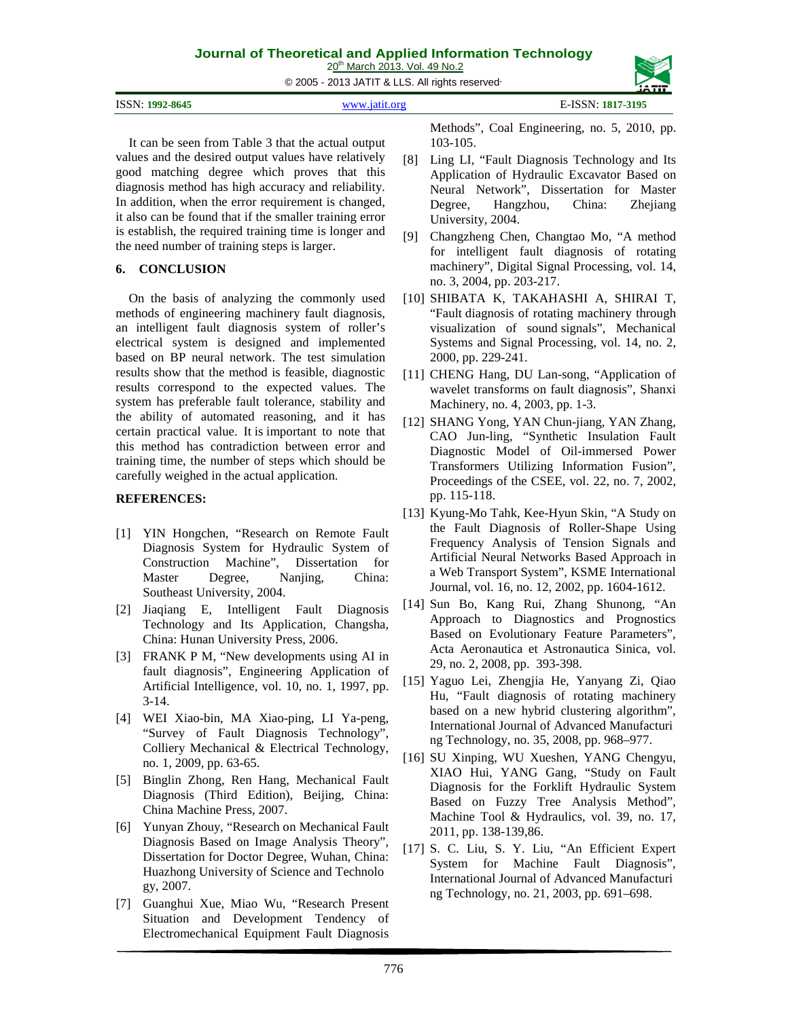# **Journal of Theoretical and Applied Information Technology**

20<sup>th</sup> March 2013. Vol. 49 No.2

© 2005 - 2013 JATIT & LLS. All rights reserved.

| ISSN: 1992-8645 | $E$ -ISSN: $\sim$ |
|-----------------|-------------------|
| VWW.18f1f.Or9   | 1817-3195         |

It can be seen from Table 3 that the actual output values and the desired output values have relatively good matching degree which proves that this diagnosis method has high accuracy and reliability. In addition, when the error requirement is changed, it also can be found that if the smaller training error is establish, the required training time is longer and the need number of training steps is larger.

# **6. CONCLUSION**

On the basis of analyzing the commonly used methods of engineering machinery fault diagnosis, an intelligent fault diagnosis system of roller's electrical system is designed and implemented based on BP neural network. The test simulation results show that the method is feasible, diagnostic results correspond to the expected values. The system has preferable fault tolerance, stability and the ability of automated reasoning, and it has certain practical value. It is important to note that this method has contradiction between error and training time, the number of steps which should be carefully weighed in the actual application.

# **REFERENCES:**

- [1] YIN Hongchen, "Research on Remote Fault Diagnosis System for Hydraulic System of Construction Machine", Dissertation for Master Degree, Nanjing, China: Southeast University, 2004.
- [2] Jiaqiang E, Intelligent Fault Diagnosis Technology and Its Application, Changsha, China: Hunan University Press, 2006.
- [3] FRANK P M, "New developments using AI in fault diagnosis", Engineering Application of Artificial Intelligence, vol. 10, no. 1, 1997, pp. 3-14.
- [4] WEI Xiao-bin, MA Xiao-ping, LI Ya-peng, "Survey of Fault Diagnosis Technology", Colliery Mechanical & Electrical Technology, no. 1, 2009, pp. 63-65.
- [5] Binglin Zhong, Ren Hang, Mechanical Fault Diagnosis (Third Edition), Beijing, China: China Machine Press, 2007.
- [6] Yunyan Zhouy, "Research on Mechanical Fault Diagnosis Based on Image Analysis Theory", Dissertation for Doctor Degree, Wuhan, China: Huazhong University of Science and Technolo gy, 2007.
- [7] Guanghui Xue, Miao Wu, "Research Present Situation and Development Tendency of Electromechanical Equipment Fault Diagnosis

Methods", Coal Engineering, no. 5, 2010, pp. 103-105.

- [8] Ling LI, "Fault Diagnosis Technology and Its Application of Hydraulic Excavator Based on Neural Network", Dissertation for Master Degree, Hangzhou, China: Zhejiang University, 2004.
- [9] Changzheng Chen, Changtao Mo, "A method for intelligent fault diagnosis of rotating machinery", Digital Signal Processing, vol. 14, no. 3, 2004, pp. 203-217.
- [10] SHIBATA K, TAKAHASHI A, SHIRAI T, "Fault diagnosis of rotating machinery through visualization of sound signals", Mechanical Systems and Signal Processing, vol. 14, no. 2, 2000, pp. 229-241.
- [11] CHENG Hang, DU Lan-song, "Application of wavelet transforms on fault diagnosis", Shanxi Machinery, no. 4, 2003, pp. 1-3.
- [12] SHANG Yong, YAN Chun-jiang, YAN Zhang, CAO Jun-ling, "Synthetic Insulation Fault Diagnostic Model of Oil-immersed Power Transformers Utilizing Information Fusion", Proceedings of the CSEE, vol. 22, no. 7, 2002, pp. 115-118.
- [13] Kyung-Mo Tahk, Kee-Hyun Skin, "A Study on the Fault Diagnosis of Roller-Shape Using Frequency Analysis of Tension Signals and Artificial Neural Networks Based Approach in a Web Transport System", KSME International Journal, vol. 16, no. 12, 2002, pp. 1604-1612.
- [14] Sun Bo, Kang Rui, Zhang Shunong, "An Approach to Diagnostics and Prognostics Based on Evolutionary Feature Parameters", Acta Aeronautica et Astronautica Sinica, vol. 29, no. 2, 2008, pp. 393-398.
- [15] Yaguo Lei, Zhengjia He, Yanyang Zi, Qiao Hu, "Fault diagnosis of rotating machinery based on a new hybrid clustering algorithm", International Journal of Advanced Manufacturi ng Technology, no. 35, 2008, pp. 968–977.
- [16] SU Xinping, WU Xueshen, YANG Chengyu, XIAO Hui, YANG Gang, "Study on Fault Diagnosis for the Forklift Hydraulic System Based on Fuzzy Tree Analysis Method", Machine Tool & Hydraulics, vol. 39, no. 17, 2011, pp. 138-139,86.
- [17] S. C. Liu, S. Y. Liu, "An Efficient Expert System for Machine Fault Diagnosis", International Journal of Advanced Manufacturi ng Technology, no. 21, 2003, pp. 691–698.